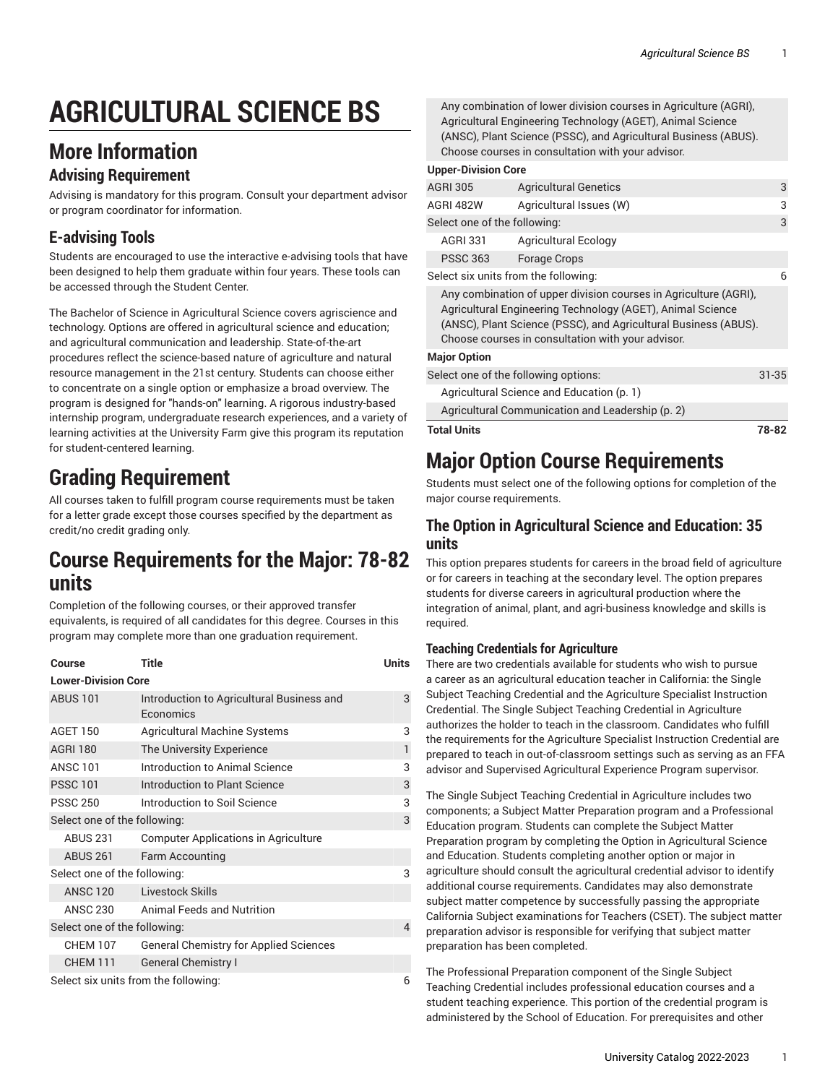# **AGRICULTURAL SCIENCE BS**

### **More Information**

#### **Advising Requirement**

Advising is mandatory for this program. Consult your department advisor or program coordinator for information.

#### **E-advising Tools**

Students are encouraged to use the interactive e-advising tools that have been designed to help them graduate within four years. These tools can be accessed through the Student Center.

The Bachelor of Science in Agricultural Science covers agriscience and technology. Options are offered in agricultural science and education; and agricultural communication and leadership. State-of-the-art procedures reflect the science-based nature of agriculture and natural resource management in the 21st century. Students can choose either to concentrate on a single option or emphasize a broad overview. The program is designed for "hands-on" learning. A rigorous industry-based internship program, undergraduate research experiences, and a variety of learning activities at the University Farm give this program its reputation for student-centered learning.

# **Grading Requirement**

All courses taken to fulfill program course requirements must be taken for a letter grade except those courses specified by the department as credit/no credit grading only.

### **Course Requirements for the Major: 78-82 units**

Completion of the following courses, or their approved transfer equivalents, is required of all candidates for this degree. Courses in this program may complete more than one graduation requirement.

| Course                               | Title                                                  | Units |  |
|--------------------------------------|--------------------------------------------------------|-------|--|
| <b>Lower-Division Core</b>           |                                                        |       |  |
| <b>ABUS 101</b>                      | Introduction to Agricultural Business and<br>Economics | 3     |  |
| <b>AGET 150</b>                      | <b>Agricultural Machine Systems</b>                    | 3     |  |
| <b>AGRI 180</b>                      | The University Experience                              | 1     |  |
| <b>ANSC 101</b>                      | Introduction to Animal Science                         | 3     |  |
| <b>PSSC 101</b>                      | Introduction to Plant Science                          | 3     |  |
| <b>PSSC 250</b>                      | Introduction to Soil Science                           | 3     |  |
| Select one of the following:         |                                                        | 3     |  |
| <b>ABUS 231</b>                      | <b>Computer Applications in Agriculture</b>            |       |  |
| <b>ABUS 261</b>                      | Farm Accounting                                        |       |  |
| Select one of the following:         |                                                        | 3     |  |
| <b>ANSC 120</b>                      | Livestock Skills                                       |       |  |
| ANSC 230                             | <b>Animal Feeds and Nutrition</b>                      |       |  |
| Select one of the following:         |                                                        | 4     |  |
| <b>CHEM 107</b>                      | <b>General Chemistry for Applied Sciences</b>          |       |  |
| <b>CHEM 111</b>                      | <b>General Chemistry I</b>                             |       |  |
| Select six units from the following: |                                                        | 6     |  |

Any combination of lower division courses in Agriculture (AGRI), Agricultural Engineering Technology (AGET), Animal Science (ANSC), Plant Science (PSSC), and Agricultural Business (ABUS). Choose courses in consultation with your advisor.

| <b>Upper-Division Core</b>                                                                                                                                                                                                                             |                                                  |           |  |
|--------------------------------------------------------------------------------------------------------------------------------------------------------------------------------------------------------------------------------------------------------|--------------------------------------------------|-----------|--|
| <b>AGRI 305</b>                                                                                                                                                                                                                                        | <b>Agricultural Genetics</b>                     | 3         |  |
| <b>AGRI 482W</b>                                                                                                                                                                                                                                       | Agricultural Issues (W)                          | 3         |  |
| Select one of the following:                                                                                                                                                                                                                           |                                                  | 3         |  |
| <b>AGRI 331</b>                                                                                                                                                                                                                                        | <b>Agricultural Ecology</b>                      |           |  |
| <b>PSSC 363</b>                                                                                                                                                                                                                                        | Forage Crops                                     |           |  |
| Select six units from the following:                                                                                                                                                                                                                   |                                                  | 6         |  |
| Any combination of upper division courses in Agriculture (AGRI),<br>Agricultural Engineering Technology (AGET), Animal Science<br>(ANSC), Plant Science (PSSC), and Agricultural Business (ABUS).<br>Choose courses in consultation with your advisor. |                                                  |           |  |
| <b>Major Option</b>                                                                                                                                                                                                                                    |                                                  |           |  |
| Select one of the following options:                                                                                                                                                                                                                   |                                                  | $31 - 35$ |  |
|                                                                                                                                                                                                                                                        | Agricultural Science and Education (p. 1)        |           |  |
|                                                                                                                                                                                                                                                        | Agricultural Communication and Leadership (p. 2) |           |  |

**Total Units 78-82**

# **Major Option Course Requirements**

Students must select one of the following options for completion of the major course requirements.

#### <span id="page-0-0"></span>**The Option in Agricultural Science and Education: 35 units**

This option prepares students for careers in the broad field of agriculture or for careers in teaching at the secondary level. The option prepares students for diverse careers in agricultural production where the integration of animal, plant, and agri-business knowledge and skills is required.

#### **Teaching Credentials for Agriculture**

There are two credentials available for students who wish to pursue a career as an agricultural education teacher in California: the Single Subject Teaching Credential and the Agriculture Specialist Instruction Credential. The Single Subject Teaching Credential in Agriculture authorizes the holder to teach in the classroom. Candidates who fulfill the requirements for the Agriculture Specialist Instruction Credential are prepared to teach in out-of-classroom settings such as serving as an FFA advisor and Supervised Agricultural Experience Program supervisor.

The Single Subject Teaching Credential in Agriculture includes two components; a Subject Matter Preparation program and a Professional Education program. Students can complete the Subject Matter Preparation program by completing the Option in Agricultural Science and Education. Students completing another option or major in agriculture should consult the agricultural credential advisor to identify additional course requirements. Candidates may also demonstrate subject matter competence by successfully passing the appropriate California Subject examinations for Teachers (CSET). The subject matter preparation advisor is responsible for verifying that subject matter preparation has been completed.

The Professional Preparation component of the Single Subject Teaching Credential includes professional education courses and a student teaching experience. This portion of the credential program is administered by the School of Education. For prerequisites and other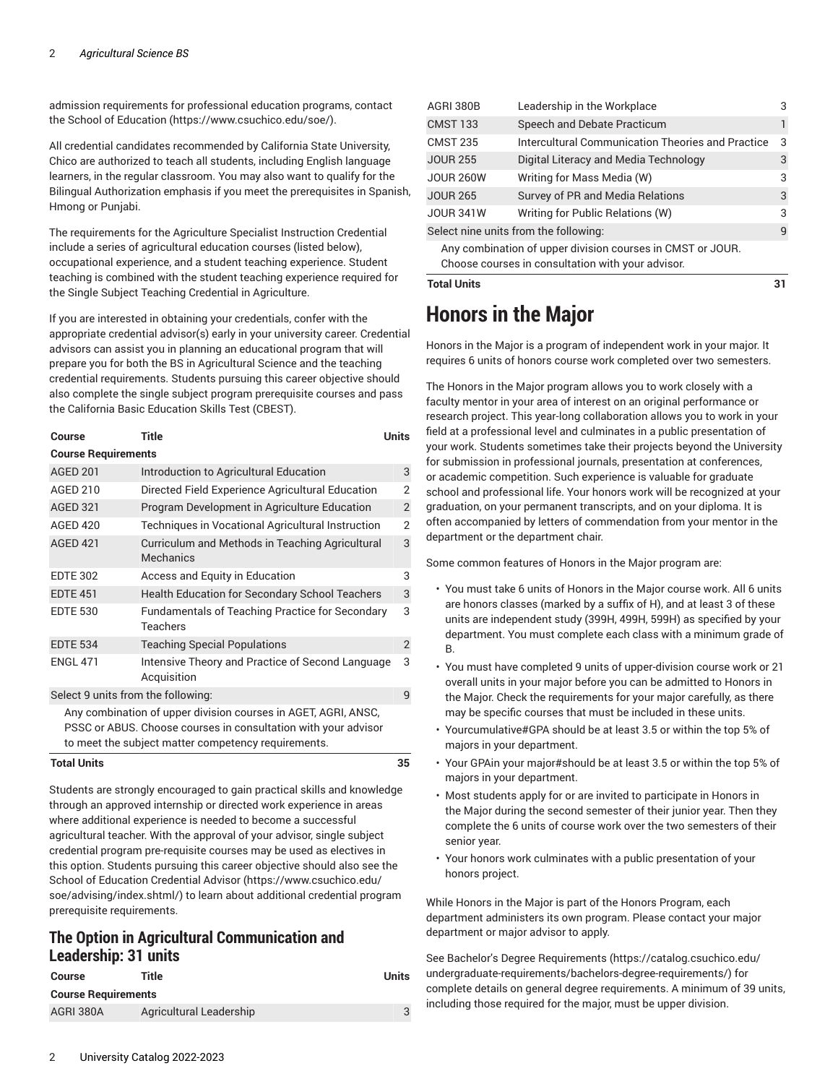admission requirements for professional education programs, contact the School of [Education \(https://www.csuchico.edu/soe/](https://www.csuchico.edu/soe/)).

All credential candidates recommended by California State University, Chico are authorized to teach all students, including English language learners, in the regular classroom. You may also want to qualify for the Bilingual Authorization emphasis if you meet the prerequisites in Spanish, Hmong or Punjabi.

The requirements for the Agriculture Specialist Instruction Credential include a series of agricultural education courses (listed below), occupational experience, and a student teaching experience. Student teaching is combined with the student teaching experience required for the Single Subject Teaching Credential in Agriculture.

If you are interested in obtaining your credentials, confer with the appropriate credential advisor(s) early in your university career. Credential advisors can assist you in planning an educational program that will prepare you for both the BS in Agricultural Science and the teaching credential requirements. Students pursuing this career objective should also complete the single subject program prerequisite courses and pass the California Basic Education Skills Test (CBEST).

| Course                                                                                                                                                                                  | Title                                                              | Units          |  |
|-----------------------------------------------------------------------------------------------------------------------------------------------------------------------------------------|--------------------------------------------------------------------|----------------|--|
| <b>Course Requirements</b>                                                                                                                                                              |                                                                    |                |  |
| <b>AGED 201</b>                                                                                                                                                                         | Introduction to Agricultural Education                             | 3              |  |
| AGED 210                                                                                                                                                                                | Directed Field Experience Agricultural Education                   | 2              |  |
| <b>AGED 321</b>                                                                                                                                                                         | Program Development in Agriculture Education                       | $\overline{2}$ |  |
| <b>AGED 420</b>                                                                                                                                                                         | Techniques in Vocational Agricultural Instruction                  | 2              |  |
| <b>AGED 421</b>                                                                                                                                                                         | Curriculum and Methods in Teaching Agricultural<br>Mechanics       | 3              |  |
| <b>EDTE 302</b>                                                                                                                                                                         | Access and Equity in Education                                     | 3              |  |
| <b>EDTE 451</b>                                                                                                                                                                         | <b>Health Education for Secondary School Teachers</b>              | 3              |  |
| <b>EDTE 530</b>                                                                                                                                                                         | <b>Fundamentals of Teaching Practice for Secondary</b><br>Teachers | 3              |  |
| <b>EDTE 534</b>                                                                                                                                                                         | <b>Teaching Special Populations</b>                                | $\overline{2}$ |  |
| <b>ENGL 471</b>                                                                                                                                                                         | Intensive Theory and Practice of Second Language<br>Acquisition    | 3              |  |
| Select 9 units from the following:                                                                                                                                                      |                                                                    | q              |  |
| Any combination of upper division courses in AGET, AGRI, ANSC,<br>PSSC or ABUS. Choose courses in consultation with your advisor<br>to meet the subject matter competency requirements. |                                                                    |                |  |
| <b>Total Units</b>                                                                                                                                                                      |                                                                    |                |  |

Students are strongly encouraged to gain practical skills and knowledge through an approved internship or directed work experience in areas where additional experience is needed to become a successful agricultural teacher. With the approval of your advisor, single subject credential program pre-requisite courses may be used as electives in this option. Students pursuing this career objective should also see the School of Education [Credential](https://www.csuchico.edu/soe/advising/index.shtml/) Advisor ([https://www.csuchico.edu/](https://www.csuchico.edu/soe/advising/index.shtml/) [soe/advising/index.shtml/](https://www.csuchico.edu/soe/advising/index.shtml/)) to learn about additional credential program prerequisite requirements.

#### <span id="page-1-0"></span>**The Option in Agricultural Communication and Leadership: 31 units**

| Course                     | Title                   | Units |
|----------------------------|-------------------------|-------|
| <b>Course Requirements</b> |                         |       |
| AGRI 380A                  | Agricultural Leadership |       |

| AGRI 380B                                                  | Leadership in the Workplace                              |   |  |  |
|------------------------------------------------------------|----------------------------------------------------------|---|--|--|
| <b>CMST 133</b>                                            | Speech and Debate Practicum                              |   |  |  |
| <b>CMST 235</b>                                            | <b>Intercultural Communication Theories and Practice</b> | 3 |  |  |
| <b>JOUR 255</b>                                            | Digital Literacy and Media Technology                    |   |  |  |
| <b>JOUR 260W</b>                                           | Writing for Mass Media (W)                               | 3 |  |  |
| <b>JOUR 265</b>                                            | Survey of PR and Media Relations                         | 3 |  |  |
| <b>JOUR 341W</b>                                           | Writing for Public Relations (W)                         | 3 |  |  |
| Select nine units from the following:                      |                                                          |   |  |  |
| Any combination of upper division courses in CMST or JOUR. |                                                          |   |  |  |

Choose courses in consultation with your advisor.

#### **Total Units 31**

### **Honors in the Major**

Honors in the Major is a program of independent work in your major. It requires 6 units of honors course work completed over two semesters.

The Honors in the Major program allows you to work closely with a faculty mentor in your area of interest on an original performance or research project. This year-long collaboration allows you to work in your field at a professional level and culminates in a public presentation of your work. Students sometimes take their projects beyond the University for submission in professional journals, presentation at conferences, or academic competition. Such experience is valuable for graduate school and professional life. Your honors work will be recognized at your graduation, on your permanent transcripts, and on your diploma. It is often accompanied by letters of commendation from your mentor in the department or the department chair.

Some common features of Honors in the Major program are:

- You must take 6 units of Honors in the Major course work. All 6 units are honors classes (marked by a suffix of H), and at least 3 of these units are independent study (399H, 499H, 599H) as specified by your department. You must complete each class with a minimum grade of B.
- You must have completed 9 units of upper-division course work or 21 overall units in your major before you can be admitted to Honors in the Major. Check the requirements for your major carefully, as there may be specific courses that must be included in these units.
- Yourcumulative#GPA should be at least 3.5 or within the top 5% of majors in your department.
- Your GPAin your major#should be at least 3.5 or within the top 5% of majors in your department.
- Most students apply for or are invited to participate in Honors in the Major during the second semester of their junior year. Then they complete the 6 units of course work over the two semesters of their senior year.
- Your honors work culminates with a public presentation of your honors project.

While Honors in the Major is part of the Honors Program, each department administers its own program. Please contact your major department or major advisor to apply.

See Bachelor's Degree [Requirements \(https://catalog.csuchico.edu/](https://catalog.csuchico.edu/undergraduate-requirements/bachelors-degree-requirements/) [undergraduate-requirements/bachelors-degree-requirements/](https://catalog.csuchico.edu/undergraduate-requirements/bachelors-degree-requirements/)) for complete details on general degree requirements. A minimum of 39 units, including those required for the major, must be upper division.